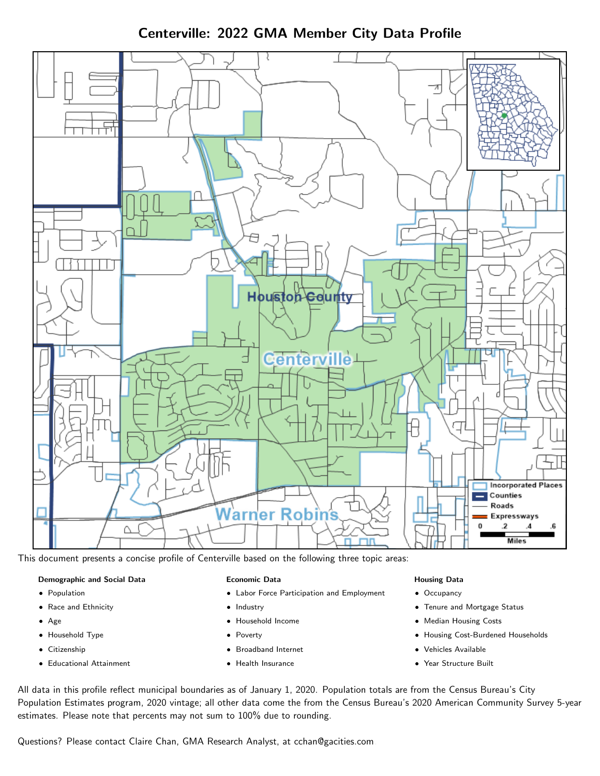Centerville: 2022 GMA Member City Data Profile



This document presents a concise profile of Centerville based on the following three topic areas:

# Demographic and Social Data

- **•** Population
- Race and Ethnicity
- Age
- Household Type
- **Citizenship**
- Educational Attainment

#### Economic Data

- Labor Force Participation and Employment
- Industry
- Household Income
- Poverty
- Broadband Internet
- Health Insurance

#### Housing Data

- Occupancy
- Tenure and Mortgage Status
- Median Housing Costs
- Housing Cost-Burdened Households
- Vehicles Available
- Year Structure Built

All data in this profile reflect municipal boundaries as of January 1, 2020. Population totals are from the Census Bureau's City Population Estimates program, 2020 vintage; all other data come the from the Census Bureau's 2020 American Community Survey 5-year estimates. Please note that percents may not sum to 100% due to rounding.

Questions? Please contact Claire Chan, GMA Research Analyst, at [cchan@gacities.com.](mailto:cchan@gacities.com)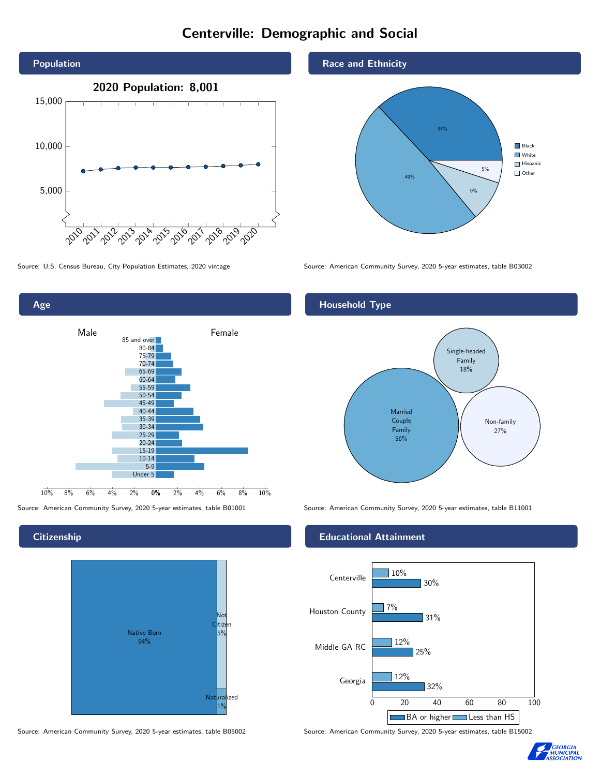# Centerville: Demographic and Social





## **Citizenship**



Source: American Community Survey, 2020 5-year estimates, table B05002 Source: American Community Survey, 2020 5-year estimates, table B15002

## Race and Ethnicity



Source: U.S. Census Bureau, City Population Estimates, 2020 vintage Source: American Community Survey, 2020 5-year estimates, table B03002

## Household Type



Source: American Community Survey, 2020 5-year estimates, table B01001 Source: American Community Survey, 2020 5-year estimates, table B11001

## Educational Attainment



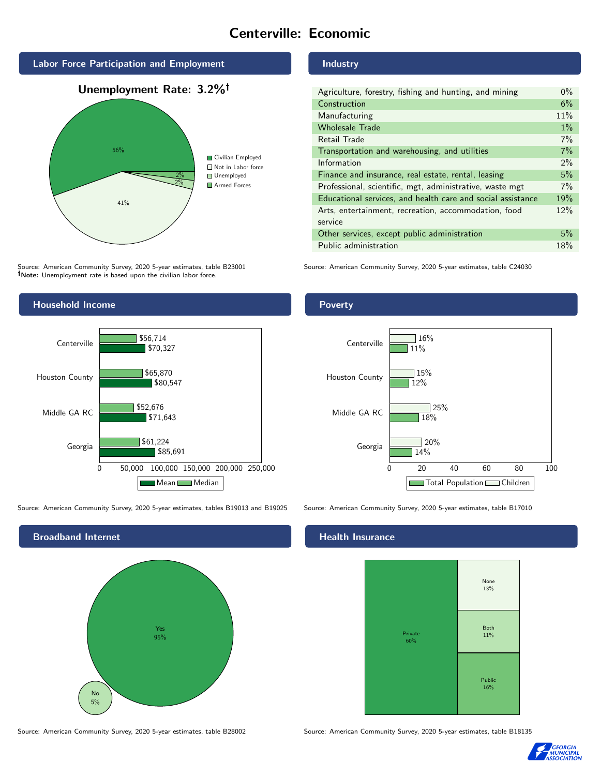# Centerville: Economic



Source: American Community Survey, 2020 5-year estimates, table B23001 Note: Unemployment rate is based upon the civilian labor force.

## Industry

| Agriculture, forestry, fishing and hunting, and mining      | $0\%$ |
|-------------------------------------------------------------|-------|
| Construction                                                | 6%    |
| Manufacturing                                               | 11%   |
| <b>Wholesale Trade</b>                                      | $1\%$ |
| Retail Trade                                                | 7%    |
| Transportation and warehousing, and utilities               | 7%    |
| Information                                                 | 2%    |
| Finance and insurance, real estate, rental, leasing         | 5%    |
| Professional, scientific, mgt, administrative, waste mgt    | 7%    |
| Educational services, and health care and social assistance | 19%   |
| Arts, entertainment, recreation, accommodation, food        | 12%   |
| service                                                     |       |
| Other services, except public administration                | 5%    |
| Public administration                                       | 18%   |

Source: American Community Survey, 2020 5-year estimates, table C24030



Source: American Community Survey, 2020 5-year estimates, tables B19013 and B19025 Source: American Community Survey, 2020 5-year estimates, table B17010



Source: American Community Survey, 2020 5-year estimates, table B28002 Source: American Community Survey, 2020 5-year estimates, table B18135

### Health Insurance